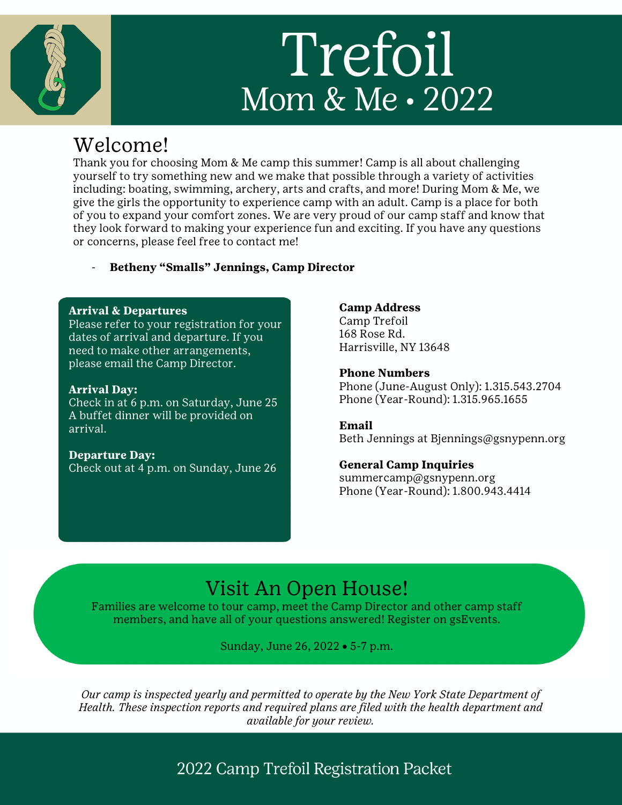# Trefoil Mom & Me · 2022

## Welcome!

Thank you for choosing Mom & Me camp this summer! Camp is all about challenging yourself to try something new and we make that possible through a variety of activities including: boating, swimming, archery, arts and crafts, and more! During Mom & Me, we give the girls the opportunity to experience camp with an adult. Camp is a place for both of you to expand your comfort zones. We are very proud of our camp staff and know that they look forward to making your experience fun and exciting. If you have any questions or concerns, please feel free to contact me!

- **Betheny "Smalls" Jennings, Camp Director**

#### **Arrival & Departures**

Please refer to your registration for your dates of arrival and departure. If you need to make other arrangements, please email the Camp Director.

#### **Arrival Day:**

Check in at 6 p.m. on Saturday, June 25 A buffet dinner will be provided on arrival.

#### **Departure Day:** Check out at 4 p.m. on Sunday, June 26

#### **Camp Address**

Camp Trefoil 168 Rose Rd. Harrisville, NY 13648

**Phone Numbers** Phone (June-August Only): 1.315.543.2704 Phone (Year-Round): 1.315.965.1655

#### **Email**

Beth Jennings at Bjennings@gsnypenn.org

#### **General Camp Inquiries**

summercamp@gsnypenn.org Phone (Year-Round): 1.800.943.4414

## Visit An Open House!

Families are welcome to tour camp, meet the Camp Director and other camp staff members, and have all of your questions answered! Register on gsEvents.

Sunday, June 26, 2022 • 5-7 p.m.

*Our camp is inspected yearly and permitted to operate by the New York State Department of Health. These inspection reports and required plans are filed with the health department and available for your review.*

### 2022 Camp Trefoil Registration Packet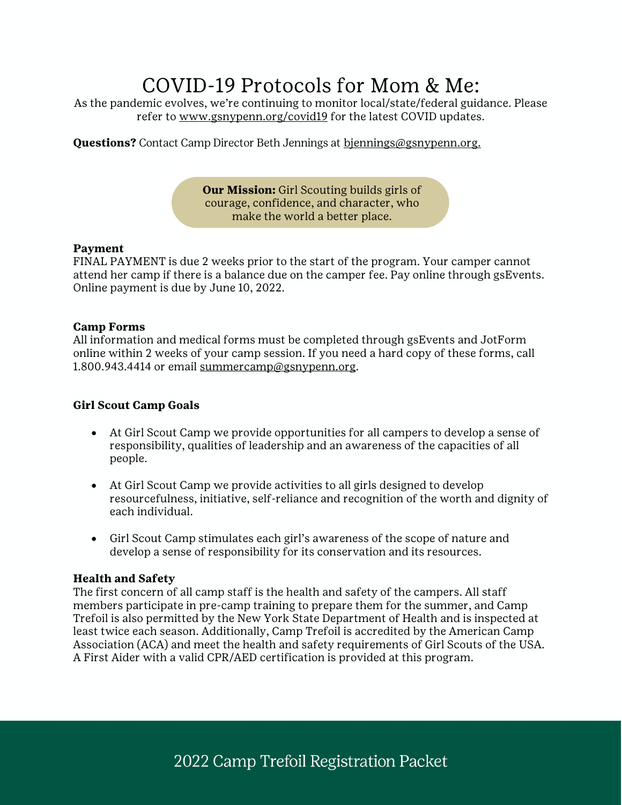## COVID-19 Protocols for Mom & Me:

As the pandemic evolves, we're continuing to monitor local/state/federal guidance. Please refer to www.gsnypenn.org/covid19 for the latest COVID updates.

**Questions?** Contact Camp Director Beth Jennings at biennings@gsnypenn.org.

**Our Mission:** Girl Scouting builds girls of courage, confidence, and character, who make the world a better place.

#### **Payment**

FINAL PAYMENT is due 2 weeks prior to the start of the program. Your camper cannot attend her camp if there is a balance due on the camper fee. Pay online through gsEvents. Online payment is due by June 10, 2022.

#### **Camp Forms**

All information and medical forms must be completed through gsEvents and JotForm online within 2 weeks of your camp session. If you need a hard copy of these forms, call 1.800.943.4414 or email summercamp@gsnypenn.org.

#### **Girl Scout Camp Goals**

- At Girl Scout Camp we provide opportunities for all campers to develop a sense of responsibility, qualities of leadership and an awareness of the capacities of all people.
- At Girl Scout Camp we provide activities to all girls designed to develop resourcefulness, initiative, self-reliance and recognition of the worth and dignity of each individual.
- Girl Scout Camp stimulates each girl's awareness of the scope of nature and develop a sense of responsibility for its conservation and its resources.

#### **Health and Safety**

The first concern of all camp staff is the health and safety of the campers. All staff members participate in pre-camp training to prepare them for the summer, and Camp Trefoil is also permitted by the New York State Department of Health and is inspected at least twice each season. Additionally, Camp Trefoil is accredited by the American Camp Association (ACA) and meet the health and safety requirements of Girl Scouts of the USA. A First Aider with a valid CPR/AED certification is provided at this program.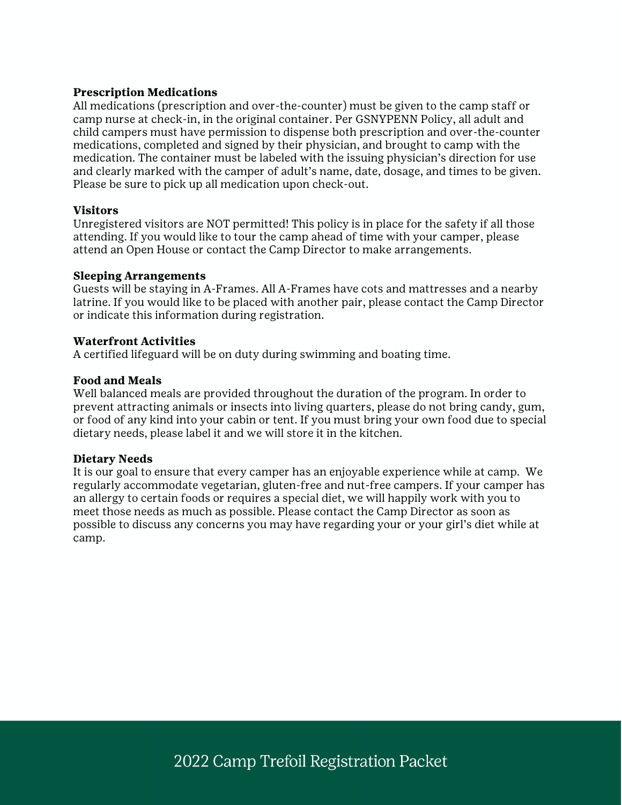#### **Prescription Medications**

All medications (prescription and over-the-counter) must be given to the camp staff or camp nurse at check-in, in the original container. Per GSNYPENN Policy, all adult and child campers must have permission to dispense both prescription and over-the-counter medications, completed and signed by their physician, and brought to camp with the medication. The container must be labeled with the issuing physician's direction for use and clearly marked with the camper of adult's name, date, dosage, and times to be given. Please be sure to pick up all medication upon check-out.

#### **Visitors**

Unregistered visitors are NOT permitted! This policy is in place for the safety if all those attending. If you would like to tour the camp ahead of time with your camper, please attend an Open House or contact the Camp Director to make arrangements.

#### **Sleeping Arrangements**

Guests will be staying in A-Frames. All A-Frames have cots and mattresses and a nearby latrine. If you would like to be placed with another pair, please contact the Camp Director or indicate this information during registration.

#### **Waterfront Activities**

A certified lifeguard will be on duty during swimming and boating time.

#### **Food and Meals**

Well balanced meals are provided throughout the duration of the program. In order to prevent attracting animals or insects into living quarters, please do not bring candy, gum, or food of any kind into your cabin or tent. If you must bring your own food due to special dietary needs, please label it and we will store it in the kitchen.

#### **Dietary Needs**

It is our goal to ensure that every camper has an enjoyable experience while at camp. We regularly accommodate vegetarian, gluten-free and nut-free campers. If your camper has an allergy to certain foods or requires a special diet, we will happily work with you to meet those needs as much as possible. Please contact the Camp Director as soon as possible to discuss any concerns you may have regarding your or your girl's diet while at camp.